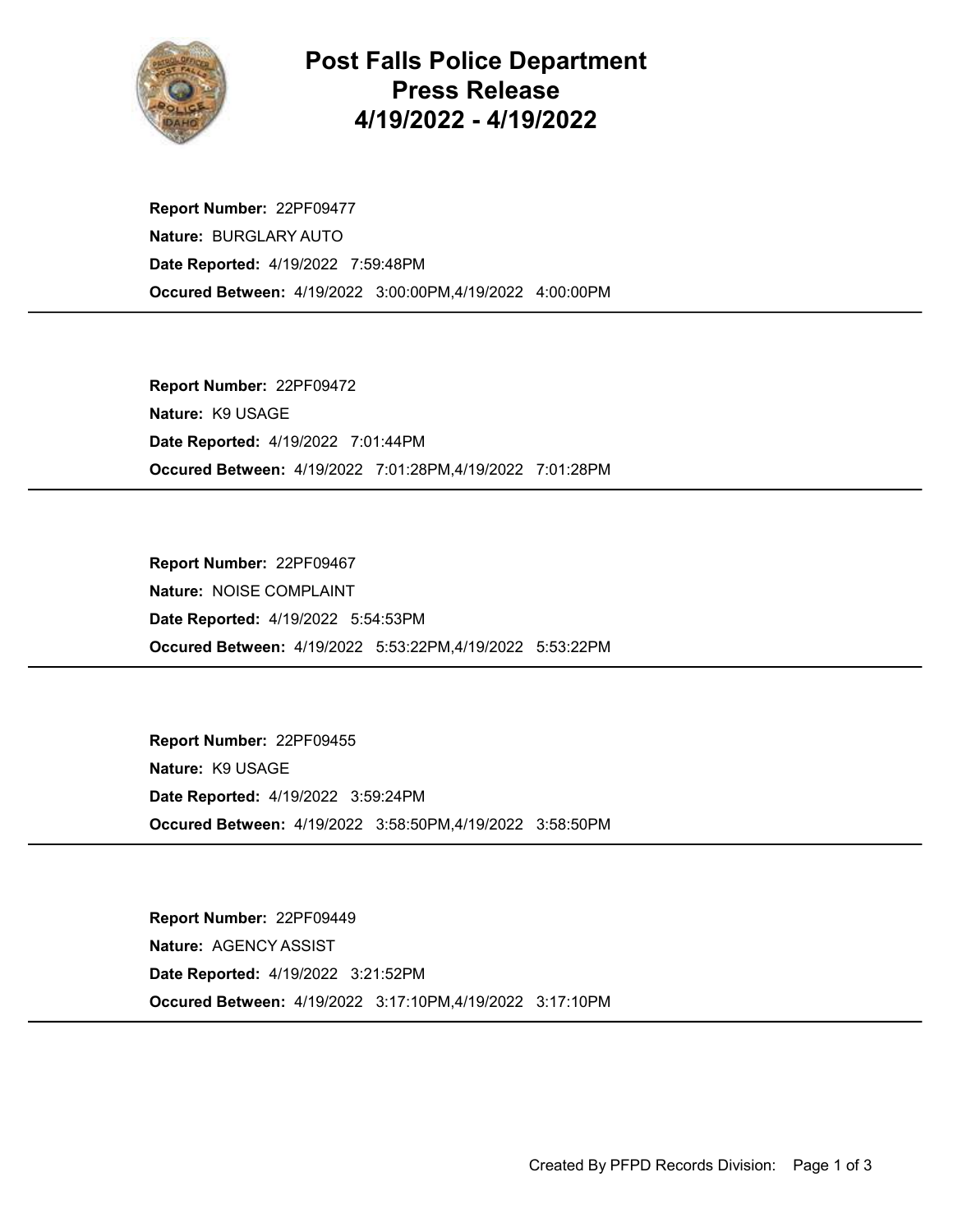

## Post Falls Police Department Press Release 4/19/2022 - 4/19/2022

Occured Between: 4/19/2022 3:00:00PM,4/19/2022 4:00:00PM Report Number: 22PF09477 Nature: BURGLARY AUTO Date Reported: 4/19/2022 7:59:48PM

Occured Between: 4/19/2022 7:01:28PM,4/19/2022 7:01:28PM Report Number: 22PF09472 Nature: K9 USAGE Date Reported: 4/19/2022 7:01:44PM

Occured Between: 4/19/2022 5:53:22PM,4/19/2022 5:53:22PM Report Number: 22PF09467 Nature: NOISE COMPLAINT Date Reported: 4/19/2022 5:54:53PM

Occured Between: 4/19/2022 3:58:50PM,4/19/2022 3:58:50PM Report Number: 22PF09455 Nature: K9 USAGE Date Reported: 4/19/2022 3:59:24PM

Occured Between: 4/19/2022 3:17:10PM,4/19/2022 3:17:10PM Report Number: 22PF09449 Nature: AGENCY ASSIST Date Reported: 4/19/2022 3:21:52PM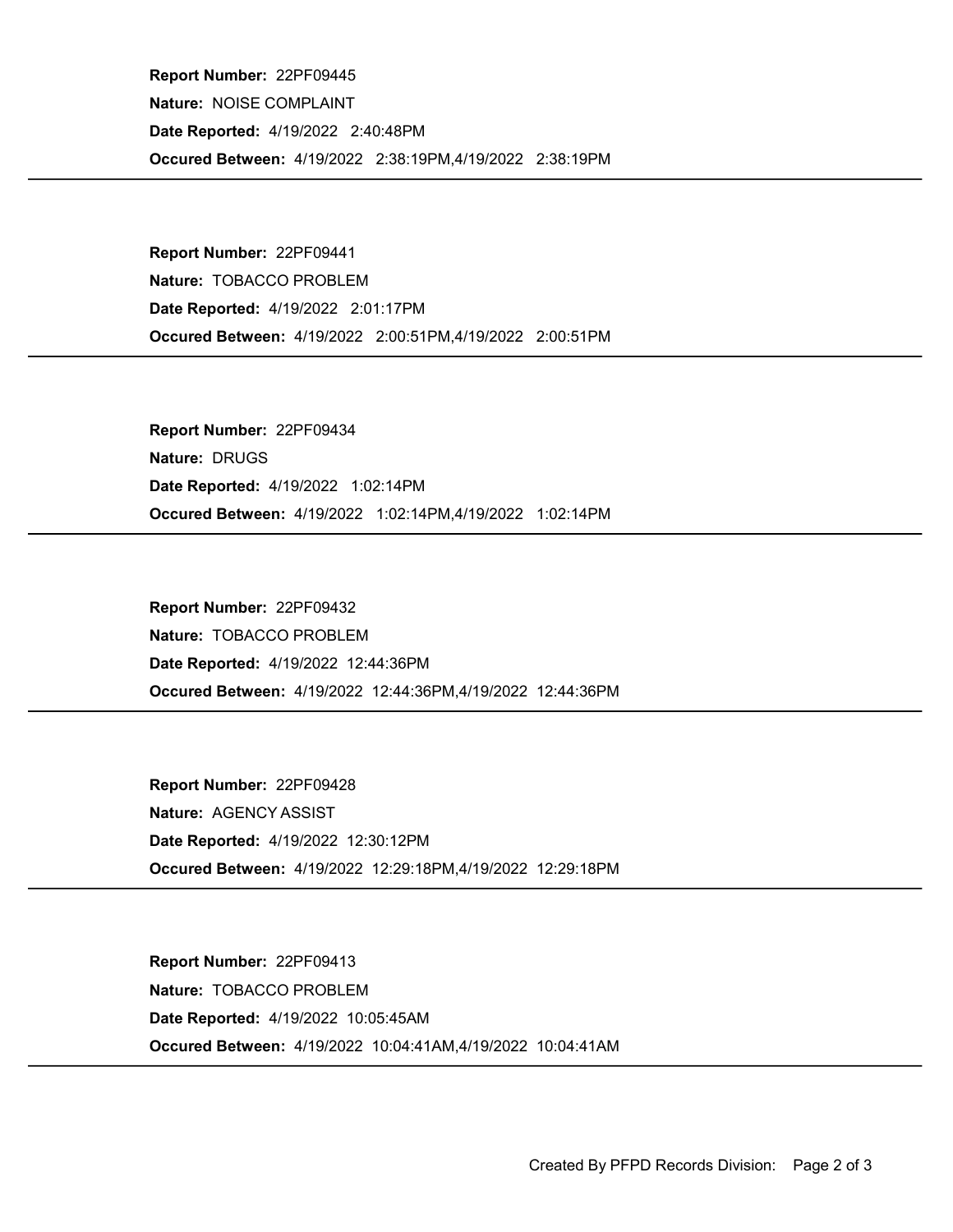Occured Between: 4/19/2022 2:38:19PM,4/19/2022 2:38:19PM Report Number: 22PF09445 Nature: NOISE COMPLAINT Date Reported: 4/19/2022 2:40:48PM

Occured Between: 4/19/2022 2:00:51PM,4/19/2022 2:00:51PM Report Number: 22PF09441 Nature: TOBACCO PROBLEM Date Reported: 4/19/2022 2:01:17PM

Occured Between: 4/19/2022 1:02:14PM,4/19/2022 1:02:14PM Report Number: 22PF09434 Nature: DRUGS Date Reported: 4/19/2022 1:02:14PM

Occured Between: 4/19/2022 12:44:36PM,4/19/2022 12:44:36PM Report Number: 22PF09432 Nature: TOBACCO PROBLEM Date Reported: 4/19/2022 12:44:36PM

Occured Between: 4/19/2022 12:29:18PM,4/19/2022 12:29:18PM Report Number: 22PF09428 Nature: AGENCY ASSIST Date Reported: 4/19/2022 12:30:12PM

Occured Between: 4/19/2022 10:04:41AM,4/19/2022 10:04:41AM Report Number: 22PF09413 Nature: TOBACCO PROBLEM Date Reported: 4/19/2022 10:05:45AM